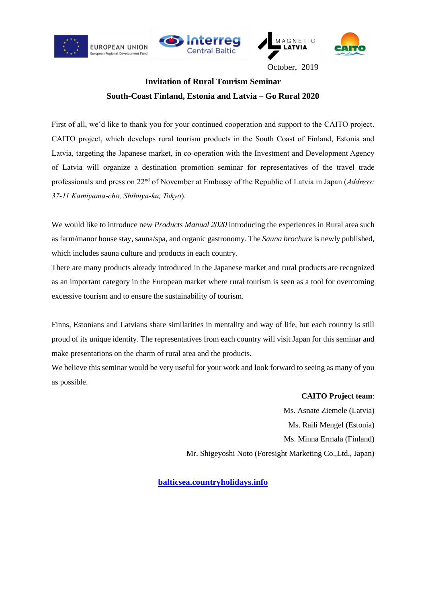





October, 2019

# **Invitation of Rural Tourism Seminar South-Coast Finland, Estonia and Latvia – Go Rural 2020**

First of all, we´d like to thank you for your continued cooperation and support to the CAITO project. CAITO project, which develops rural tourism products in the South Coast of Finland, Estonia and Latvia, targeting the Japanese market, in co-operation with the Investment and Development Agency of Latvia will organize a destination promotion seminar for representatives of the travel trade professionals and press on 22nd of November at Embassy of the Republic of Latvia in Japan (*Address: 37-11 Kamiyama-cho, Shibuya-ku, Tokyo*).

We would like to introduce new *Products Manual 2020* introducing the experiences in Rural area such as farm/manor house stay, sauna/spa, and organic gastronomy. The *Sauna brochure* is newly published, which includes sauna culture and products in each country.

There are many products already introduced in the Japanese market and rural products are recognized as an important category in the European market where rural tourism is seen as a tool for overcoming excessive tourism and to ensure the sustainability of tourism.

Finns, Estonians and Latvians share similarities in mentality and way of life, but each country is still proud of its unique identity. The representatives from each country will visit Japan for this seminar and make presentations on the charm of rural area and the products.

We believe this seminar would be very useful for your work and look forward to seeing as many of you as possible.

> **CAITO Project team**: Ms. Asnate Ziemele (Latvia) Ms. Raili Mengel (Estonia) Ms. Minna Ermala (Finland) Mr. Shigeyoshi Noto (Foresight Marketing Co.,Ltd., Japan)

**[balticsea.countryholidays.info](https://balticsea.countryholidays.info/)**